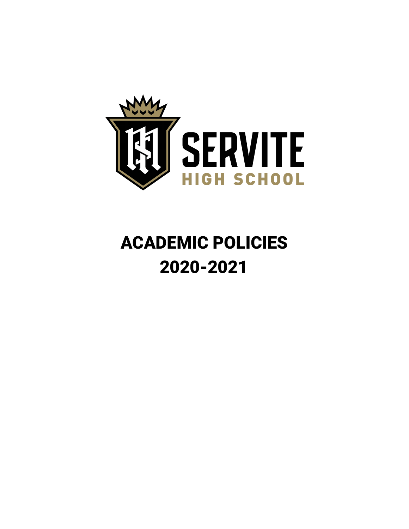

# ACADEMIC POLICIES 2020-2021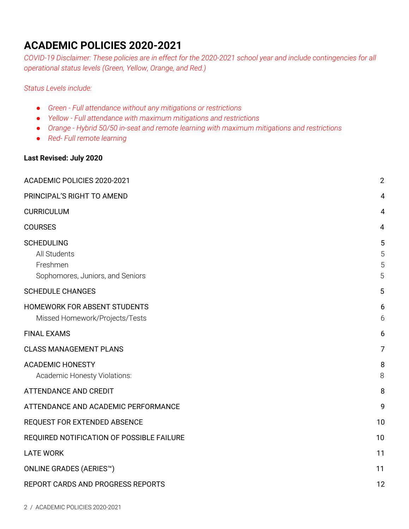#### <span id="page-1-0"></span>**ACADEMIC POLICIES 2020-2021**

COVID-19 Disclaimer: These policies are in effect for the 2020-2021 school year and include contingencies for all *operational status levels (Green, Yellow, Orange, and Red.)*

#### *Status Levels include:*

- *● Green - Full attendance without any mitigations or restrictions*
- *● Yellow - Full attendance with maximum mitigations and restrictions*
- *● Orange - Hybrid 50/50 in-seat and remote learning with maximum mitigations and restrictions*
- *● Red- Full remote learning*

#### **Last Revised: July 2020**

| ACADEMIC POLICIES 2020-2021                                                       | $\overline{2}$   |
|-----------------------------------------------------------------------------------|------------------|
| PRINCIPAL'S RIGHT TO AMEND                                                        | 4                |
| <b>CURRICULUM</b>                                                                 | $\overline{4}$   |
| <b>COURSES</b>                                                                    | 4                |
| <b>SCHEDULING</b><br>All Students<br>Freshmen<br>Sophomores, Juniors, and Seniors | 5<br>5<br>5<br>5 |
| <b>SCHEDULE CHANGES</b>                                                           | 5                |
| HOMEWORK FOR ABSENT STUDENTS<br>Missed Homework/Projects/Tests                    | 6<br>6           |
| <b>FINAL EXAMS</b>                                                                | 6                |
| <b>CLASS MANAGEMENT PLANS</b>                                                     | 7                |
| <b>ACADEMIC HONESTY</b><br>Academic Honesty Violations:                           | 8<br>8           |
| <b>ATTENDANCE AND CREDIT</b>                                                      | 8                |
| ATTENDANCE AND ACADEMIC PERFORMANCE                                               | 9                |
| REQUEST FOR EXTENDED ABSENCE                                                      | 10               |
| REQUIRED NOTIFICATION OF POSSIBLE FAILURE                                         | 10               |
| <b>LATE WORK</b>                                                                  | 11               |
| <b>ONLINE GRADES (AERIES™)</b>                                                    | 11               |
| REPORT CARDS AND PROGRESS REPORTS                                                 | 12               |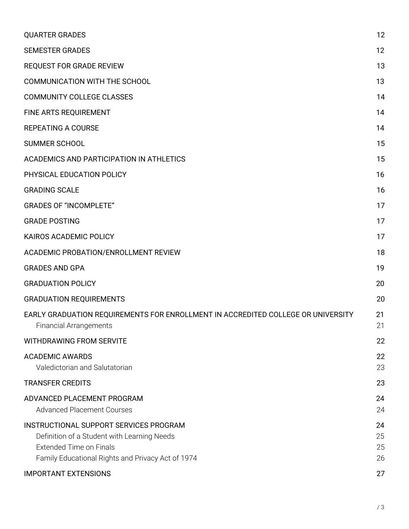| <b>QUARTER GRADES</b>                                                                                                                                                        | 12                   |
|------------------------------------------------------------------------------------------------------------------------------------------------------------------------------|----------------------|
| <b>SEMESTER GRADES</b>                                                                                                                                                       | 12                   |
| <b>REQUEST FOR GRADE REVIEW</b>                                                                                                                                              | 13                   |
| <b>COMMUNICATION WITH THE SCHOOL</b>                                                                                                                                         | 13                   |
| <b>COMMUNITY COLLEGE CLASSES</b>                                                                                                                                             | 14                   |
| FINE ARTS REQUIREMENT                                                                                                                                                        | 14                   |
| <b>REPEATING A COURSE</b>                                                                                                                                                    | 14                   |
| <b>SUMMER SCHOOL</b>                                                                                                                                                         | 15                   |
| ACADEMICS AND PARTICIPATION IN ATHLETICS                                                                                                                                     | 15                   |
| PHYSICAL EDUCATION POLICY                                                                                                                                                    | 16                   |
| <b>GRADING SCALE</b>                                                                                                                                                         | 16                   |
| <b>GRADES OF "INCOMPLETE"</b>                                                                                                                                                | 17                   |
| <b>GRADE POSTING</b>                                                                                                                                                         | 17                   |
| KAIROS ACADEMIC POLICY                                                                                                                                                       | 17                   |
| ACADEMIC PROBATION/ENROLLMENT REVIEW                                                                                                                                         | 18                   |
| <b>GRADES AND GPA</b>                                                                                                                                                        | 19                   |
| <b>GRADUATION POLICY</b>                                                                                                                                                     | 20                   |
| <b>GRADUATION REQUIREMENTS</b>                                                                                                                                               | 20                   |
| EARLY GRADUATION REQUIREMENTS FOR ENROLLMENT IN ACCREDITED COLLEGE OR UNIVERSITY<br><b>Financial Arrangements</b>                                                            | 21<br>21             |
| <b>WITHDRAWING FROM SERVITE</b>                                                                                                                                              | 22                   |
| <b>ACADEMIC AWARDS</b><br>Valedictorian and Salutatorian                                                                                                                     | 22<br>23             |
| <b>TRANSFER CREDITS</b>                                                                                                                                                      | 23                   |
| ADVANCED PLACEMENT PROGRAM<br><b>Advanced Placement Courses</b>                                                                                                              | 24<br>24             |
| INSTRUCTIONAL SUPPORT SERVICES PROGRAM<br>Definition of a Student with Learning Needs<br><b>Extended Time on Finals</b><br>Family Educational Rights and Privacy Act of 1974 | 24<br>25<br>25<br>26 |
| <b>IMPORTANT EXTENSIONS</b>                                                                                                                                                  | 27                   |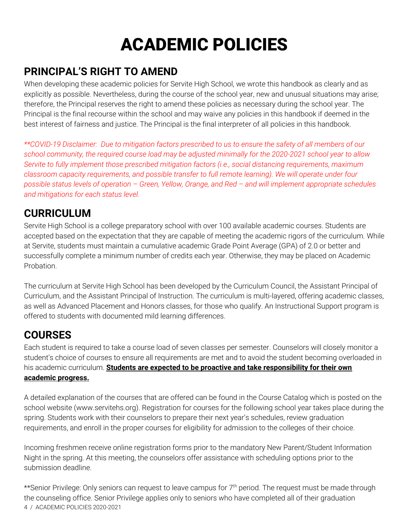# ACADEMIC POLICIES

#### <span id="page-3-0"></span>**PRINCIPAL'S RIGHT TO AMEND**

When developing these academic policies for Servite High School, we wrote this handbook as clearly and as explicitly as possible. Nevertheless, during the course of the school year, new and unusual situations may arise; therefore, the Principal reserves the right to amend these policies as necessary during the school year. The Principal is the final recourse within the school and may waive any policies in this handbook if deemed in the best interest of fairness and justice. The Principal is the final interpreter of all policies in this handbook.

\*\*COVID-19 Disclaimer: Due to mitigation factors prescribed to us to ensure the safety of all members of our school community, the required course load may be adjusted minimally for the 2020-2021 school year to allow *Servite to fully implement those prescribed mitigation factors (i.e., social distancing requirements, maximum classroom capacity requirements, and possible transfer to full remote learning). We will operate under four* possible status levels of operation - Green, Yellow, Orange, and Red - and will implement appropriate schedules *and mitigations for each status level.*

#### <span id="page-3-1"></span>**CURRICULUM**

Servite High School is a college preparatory school with over 100 available academic courses. Students are accepted based on the expectation that they are capable of meeting the academic rigors of the curriculum. While at Servite, students must maintain a cumulative academic Grade Point Average (GPA) of 2.0 or better and successfully complete a minimum number of credits each year. Otherwise, they may be placed on Academic Probation.

The curriculum at Servite High School has been developed by the Curriculum Council, the Assistant Principal of Curriculum, and the Assistant Principal of Instruction. The curriculum is multi-layered, offering academic classes, as well as Advanced Placement and Honors classes, for those who qualify. An Instructional Support program is offered to students with documented mild learning differences.

## <span id="page-3-2"></span>**COURSES**

Each student is required to take a course load of seven classes per semester. Counselors will closely monitor a student's choice of courses to ensure all requirements are met and to avoid the student becoming overloaded in his academic curriculum. **Students are expected to be proactive and take responsibility for their own academic progress.**

A detailed explanation of the courses that are offered can be found in the Course Catalog which is posted on the school website (www.servitehs.org). Registration for courses for the following school year takes place during the spring. Students work with their counselors to prepare their next year's schedules, review graduation requirements, and enroll in the proper courses for eligibility for admission to the colleges of their choice.

Incoming freshmen receive online registration forms prior to the mandatory New Parent/Student Information Night in the spring. At this meeting, the counselors offer assistance with scheduling options prior to the submission deadline.

\*\*Senior Privilege: Only seniors can request to leave campus for 7<sup>th</sup> period. The request must be made through the counseling office. Senior Privilege applies only to seniors who have completed all of their graduation 4 / ACADEMIC POLICIES 2020-2021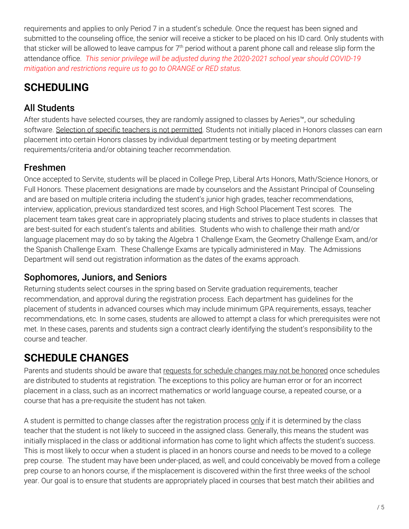requirements and applies to only Period 7 in a student's schedule. Once the request has been signed and submitted to the counseling office, the senior will receive a sticker to be placed on his ID card. Only students with that sticker will be allowed to leave campus for  $7^{\rm th}$  period without a parent phone call and release slip form the attendance office. *This senior privilege will be adjusted during the 2020-2021 school year should COVID-19 mitigation and restrictions require us to go to ORANGE or RED status.*

## <span id="page-4-0"></span>**SCHEDULING**

#### <span id="page-4-1"></span>All Students

After students have selected courses, they are randomly assigned to classes by Aeries™, our scheduling software. Selection of specific teachers is not permitted. Students not initially placed in Honors classes can earn placement into certain Honors classes by individual department testing or by meeting department requirements/criteria and/or obtaining teacher recommendation.

#### <span id="page-4-2"></span>Freshmen

Once accepted to Servite, students will be placed in College Prep, Liberal Arts Honors, Math/Science Honors, or Full Honors. These placement designations are made by counselors and the Assistant Principal of Counseling and are based on multiple criteria including the student's junior high grades, teacher recommendations, interview, application, previous standardized test scores, and High School Placement Test scores. The placement team takes great care in appropriately placing students and strives to place students in classes that are best-suited for each student's talents and abilities. Students who wish to challenge their math and/or language placement may do so by taking the Algebra 1 Challenge Exam, the Geometry Challenge Exam, and/or the Spanish Challenge Exam. These Challenge Exams are typically administered in May. The Admissions Department will send out registration information as the dates of the exams approach.

#### <span id="page-4-3"></span>Sophomores, Juniors, and Seniors

Returning students select courses in the spring based on Servite graduation requirements, teacher recommendation, and approval during the registration process. Each department has guidelines for the placement of students in advanced courses which may include minimum GPA requirements, essays, teacher recommendations, etc. In some cases, students are allowed to attempt a class for which prerequisites were not met. In these cases, parents and students sign a contract clearly identifying the student's responsibility to the course and teacher.

## <span id="page-4-4"></span>**SCHEDULE CHANGES**

Parents and students should be aware that requests for schedule changes may not be honored once schedules are distributed to students at registration. The exceptions to this policy are human error or for an incorrect placement in a class, such as an incorrect mathematics or world language course, a repeated course, or a course that has a pre-requisite the student has not taken.

A student is permitted to change classes after the registration process only if it is determined by the class teacher that the student is not likely to succeed in the assigned class. Generally, this means the student was initially misplaced in the class or additional information has come to light which affects the student's success. This is most likely to occur when a student is placed in an honors course and needs to be moved to a college prep course. The student may have been under-placed, as well, and could conceivably be moved from a college prep course to an honors course, if the misplacement is discovered within the first three weeks of the school year. Our goal is to ensure that students are appropriately placed in courses that best match their abilities and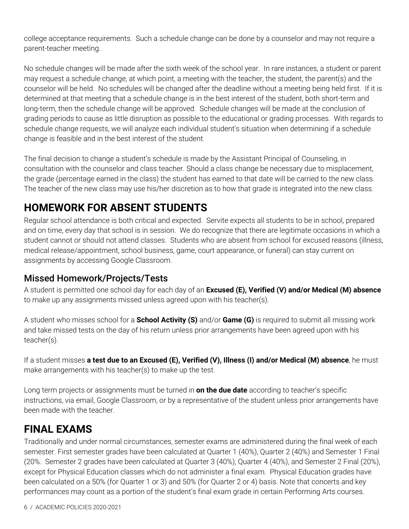college acceptance requirements. Such a schedule change can be done by a counselor and may not require a parent-teacher meeting.

No schedule changes will be made after the sixth week of the school year. In rare instances, a student or parent may request a schedule change, at which point, a meeting with the teacher, the student, the parent(s) and the counselor will be held. No schedules will be changed after the deadline without a meeting being held first. If it is determined at that meeting that a schedule change is in the best interest of the student, both short-term and long-term, then the schedule change will be approved. Schedule changes will be made at the conclusion of grading periods to cause as little disruption as possible to the educational or grading processes. With regards to schedule change requests, we will analyze each individual student's situation when determining if a schedule change is feasible and in the best interest of the student.

The final decision to change a student's schedule is made by the Assistant Principal of Counseling, in consultation with the counselor and class teacher. Should a class change be necessary due to misplacement, the grade (percentage earned in the class) the student has earned to that date will be carried to the new class. The teacher of the new class may use his/her discretion as to how that grade is integrated into the new class.

## <span id="page-5-0"></span>**HOMEWORK FOR ABSENT STUDENTS**

Regular school attendance is both critical and expected. Servite expects all students to be in school, prepared and on time, every day that school is in session. We do recognize that there are legitimate occasions in which a student cannot or should not attend classes. Students who are absent from school for excused reasons (illness, medical release/appointment, school business, game, court appearance, or funeral) can stay current on assignments by accessing Google Classroom.

#### <span id="page-5-1"></span>Missed Homework/Projects/Tests

A student is permitted one school day for each day of an **Excused (E), Verified (V) and/or Medical (M) absence** to make up any assignments missed unless agreed upon with his teacher(s).

A student who misses school for a **School Activity (S)** and/or **Game (G)** is required to submit all missing work and take missed tests on the day of his return unless prior arrangements have been agreed upon with his teacher(s).

If a student misses **a test due to an Excused (E), Verified (V), Illness (I) and/or Medical (M) absence**, he must make arrangements with his teacher(s) to make up the test.

Long term projects or assignments must be turned in **on the due date** according to teacher's specific instructions, via email, Google Classroom, or by a representative of the student unless prior arrangements have been made with the teacher.

## <span id="page-5-2"></span>**FINAL EXAMS**

Traditionally and under normal circumstances, semester exams are administered during the final week of each semester. First semester grades have been calculated at Quarter 1 (40%), Quarter 2 (40%) and Semester 1 Final (20%. Semester 2 grades have been calculated at Quarter 3 (40%), Quarter 4 (40%), and Semester 2 Final (20%), except for Physical Education classes which do not administer a final exam. Physical Education grades have been calculated on a 50% (for Quarter 1 or 3) and 50% (for Quarter 2 or 4) basis. Note that concerts and key performances may count as a portion of the student's final exam grade in certain Performing Arts courses.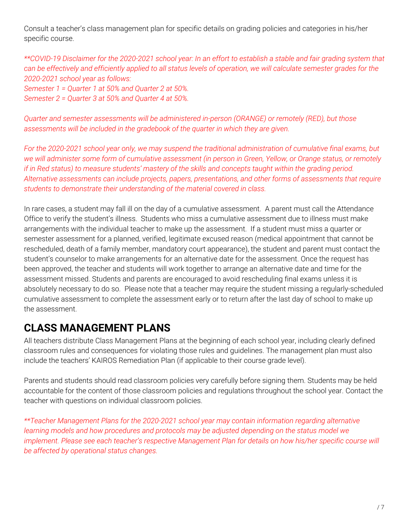Consult a teacher's class management plan for specific details on grading policies and categories in his/her specific course.

\*\*COVID-19 Disclaimer for the 2020-2021 school year: In an effort to establish a stable and fair grading system that can be effectively and efficiently applied to all status levels of operation, we will calculate semester grades for the *2020-2021 school year as follows:*

*Semester 1 = Quarter 1 at 50% and Quarter 2 at 50%. Semester 2 = Quarter 3 at 50% and Quarter 4 at 50%.*

*Quarter and semester assessments will be administered in-person (ORANGE) or remotely (RED), but those assessments will be included in the gradebook of the quarter in which they are given.*

For the 2020-2021 school year only, we may suspend the traditional administration of cumulative final exams, but we will administer some form of cumulative assessment (in person in Green, Yellow, or Orange status, or remotely if in Red status) to measure students' mastery of the skills and concepts taught within the grading period. *Alternative assessments can include projects, papers, presentations, and other forms of assessments that require students to demonstrate their understanding of the material covered in class.*

In rare cases, a student may fall ill on the day of a cumulative assessment. A parent must call the Attendance Office to verify the student's illness. Students who miss a cumulative assessment due to illness must make arrangements with the individual teacher to make up the assessment. If a student must miss a quarter or semester assessment for a planned, verified, legitimate excused reason (medical appointment that cannot be rescheduled, death of a family member, mandatory court appearance), the student and parent must contact the student's counselor to make arrangements for an alternative date for the assessment. Once the request has been approved, the teacher and students will work together to arrange an alternative date and time for the assessment missed. Students and parents are encouraged to avoid rescheduling final exams unless it is absolutely necessary to do so. Please note that a teacher may require the student missing a regularly-scheduled cumulative assessment to complete the assessment early or to return after the last day of school to make up the assessment.

## <span id="page-6-0"></span>**CLASS MANAGEMENT PLANS**

All teachers distribute Class Management Plans at the beginning of each school year, including clearly defined classroom rules and consequences for violating those rules and guidelines. The management plan must also include the teachers' KAIROS Remediation Plan (if applicable to their course grade level).

Parents and students should read classroom policies very carefully before signing them. Students may be held accountable for the content of those classroom policies and regulations throughout the school year. Contact the teacher with questions on individual classroom policies.

*\*\*Teacher Management Plans for the 2020-2021 school year may contain information regarding alternative learning models and how procedures and protocols may be adjusted depending on the status model we implement. Please see each teacher's respective Management Plan for details on how his/her specific course will be affected by operational status changes.*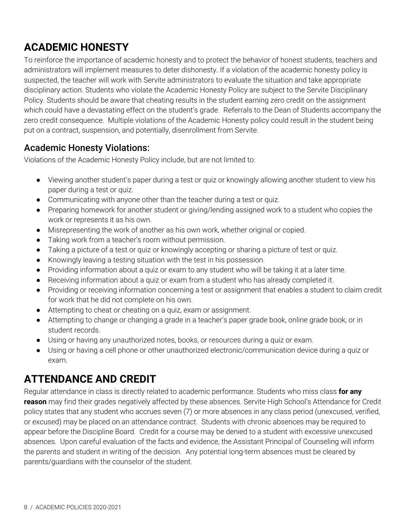## **ACADEMIC HONESTY**

To reinforce the importance of academic honesty and to protect the behavior of honest students, teachers and administrators will implement measures to deter dishonesty. If a violation of the academic honesty policy is suspected, the teacher will work with Servite administrators to evaluate the situation and take appropriate disciplinary action. Students who violate the Academic Honesty Policy are subject to the Servite Disciplinary Policy. Students should be aware that cheating results in the student earning zero credit on the assignment which could have a devastating effect on the student's grade. Referrals to the Dean of Students accompany the zero credit consequence. Multiple violations of the Academic Honesty policy could result in the student being put on a contract, suspension, and potentially, disenrollment from Servite.

#### <span id="page-7-0"></span>Academic Honesty Violations:

Violations of the Academic Honesty Policy include, but are not limited to:

- Viewing another student's paper during a test or quiz or knowingly allowing another student to view his paper during a test or quiz.
- Communicating with anyone other than the teacher during a test or quiz.
- Preparing homework for another student or giving/lending assigned work to a student who copies the work or represents it as his own.
- Misrepresenting the work of another as his own work, whether original or copied.
- Taking work from a teacher's room without permission.
- Taking a picture of a test or quiz or knowingly accepting or sharing a picture of test or quiz.
- Knowingly leaving a testing situation with the test in his possession.
- Providing information about a quiz or exam to any student who will be taking it at a later time.
- Receiving information about a quiz or exam from a student who has already completed it.
- Providing or receiving information concerning a test or assignment that enables a student to claim credit for work that he did not complete on his own.
- Attempting to cheat or cheating on a quiz, exam or assignment.
- Attempting to change or changing a grade in a teacher's paper grade book, online grade book, or in student records.
- Using or having any unauthorized notes, books, or resources during a quiz or exam.
- Using or having a cell phone or other unauthorized electronic/communication device during a quiz or exam.

#### <span id="page-7-1"></span>**ATTENDANCE AND CREDIT**

Regular attendance in class is directly related to academic performance. Students who miss class **for any reason** may find their grades negatively affected by these absences. Servite High School's Attendance for Credit policy states that any student who accrues seven (7) or more absences in any class period (unexcused, verified, or excused) may be placed on an attendance contract. Students with chronic absences may be required to appear before the Discipline Board. Credit for a course may be denied to a student with excessive unexcused absences. Upon careful evaluation of the facts and evidence, the Assistant Principal of Counseling will inform the parents and student in writing of the decision. Any potential long-term absences must be cleared by parents/guardians with the counselor of the student.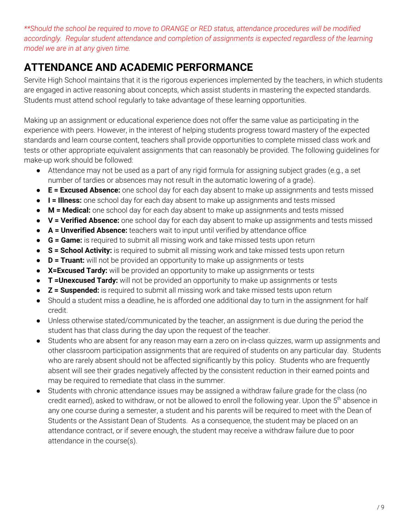*\*\*Should the school be required to move to ORANGE or RED status, attendance procedures will be modified accordingly. Regular student attendance and completion of assignments is expected regardless of the learning model we are in at any given time.*

#### <span id="page-8-0"></span>**ATTENDANCE AND ACADEMIC PERFORMANCE**

Servite High School maintains that it is the rigorous experiences implemented by the teachers, in which students are engaged in active reasoning about concepts, which assist students in mastering the expected standards. Students must attend school regularly to take advantage of these learning opportunities.

Making up an assignment or educational experience does not offer the same value as participating in the experience with peers. However, in the interest of helping students progress toward mastery of the expected standards and learn course content, teachers shall provide opportunities to complete missed class work and tests or other appropriate equivalent assignments that can reasonably be provided. The following guidelines for make-up work should be followed:

- Attendance may not be used as a part of any rigid formula for assigning subject grades (e.g., a set number of tardies or absences may not result in the automatic lowering of a grade).
- **E = Excused Absence:** one school day for each day absent to make up assignments and tests missed
- **I = Illness:** one school day for each day absent to make up assignments and tests missed
- **M = Medical:** one school day for each day absent to make up assignments and tests missed
- **V = Verified Absence:** one school day for each day absent to make up assignments and tests missed
- **A = Unverified Absence:** teachers wait to input until verified by attendance office
- **G = Game:** is required to submit all missing work and take missed tests upon return
- **S = School Activity:** is required to submit all missing work and take missed tests upon return
- **D = Truant:** will not be provided an opportunity to make up assignments or tests
- **X=Excused Tardy:** will be provided an opportunity to make up assignments or tests
- **T =Unexcused Tardy:** will not be provided an opportunity to make up assignments or tests
- **Z = Suspended:** is required to submit all missing work and take missed tests upon return
- Should a student miss a deadline, he is afforded one additional day to turn in the assignment for half credit.
- Unless otherwise stated/communicated by the teacher, an assignment is due during the period the student has that class during the day upon the request of the teacher.
- Students who are absent for any reason may earn a zero on in-class quizzes, warm up assignments and other classroom participation assignments that are required of students on any particular day. Students who are rarely absent should not be affected significantly by this policy. Students who are frequently absent will see their grades negatively affected by the consistent reduction in their earned points and may be required to remediate that class in the summer.
- <span id="page-8-1"></span>● Students with chronic attendance issues may be assigned a withdraw failure grade for the class (no credit earned), asked to withdraw, or not be allowed to enroll the following year. Upon the 5<sup>th</sup> absence in any one course during a semester, a student and his parents will be required to meet with the Dean of Students or the Assistant Dean of Students. As a consequence, the student may be placed on an attendance contract, or if severe enough, the student may receive a withdraw failure due to poor attendance in the course(s).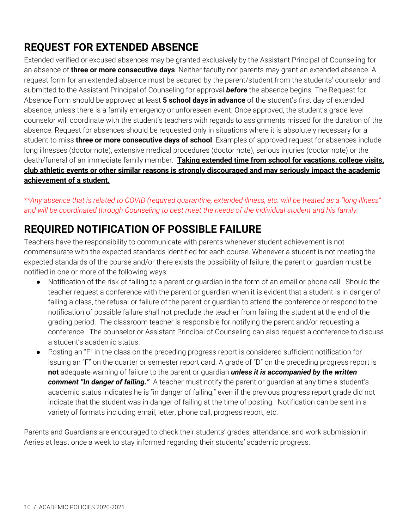## **REQUEST FOR EXTENDED ABSENCE**

Extended verified or excused absences may be granted exclusively by the Assistant Principal of Counseling for an absence of **three or more consecutive days**. Neither faculty nor parents may grant an extended absence. A request form for an extended absence must be secured by the parent/student from the students' counselor and submitted to the Assistant Principal of Counseling for approval *before* the absence begins. The Request for Absence Form should be approved at least **5 school days in advance** of the student's first day of extended absence, unless there is a family emergency or unforeseen event. Once approved, the student's grade level counselor will coordinate with the student's teachers with regards to assignments missed for the duration of the absence. Request for absences should be requested only in situations where it is absolutely necessary for a student to miss **three or more consecutive days of school**. Examples of approved request for absences include long illnesses (doctor note), extensive medical procedures (doctor note), serious injuries (doctor note) or the death/funeral of an immediate family member. **Taking extended time from school for vacations, college visits, club athletic events or other similar reasons is strongly discouraged and may seriously impact the academic achievement of a student.**

\*\*Any absence that is related to COVID (required quarantine, extended illness, etc. will be treated as a "long illness" and will be coordinated through Counseling to best meet the needs of the individual student and his family.

## <span id="page-9-0"></span>**REQUIRED NOTIFICATION OF POSSIBLE FAILURE**

Teachers have the responsibility to communicate with parents whenever student achievement is not commensurate with the expected standards identified for each course. Whenever a student is not meeting the expected standards of the course and/or there exists the possibility of failure, the parent or guardian must be notified in one or more of the following ways:

- Notification of the risk of failing to a parent or guardian in the form of an email or phone call. Should the teacher request a conference with the parent or guardian when it is evident that a student is in danger of failing a class, the refusal or failure of the parent or guardian to attend the conference or respond to the notification of possible failure shall not preclude the teacher from failing the student at the end of the grading period. The classroom teacher is responsible for notifying the parent and/or requesting a conference. The counselor or Assistant Principal of Counseling can also request a conference to discuss a student's academic status.
- Posting an "F" in the class on the preceding progress report is considered sufficient notification for issuing an "F" on the quarter or semester report card. A grade of "D" on the preceding progress report is **not** adequate warning of failure to the parent or guardian *unless it is accompanied by the written comment "In danger of failing."* A teacher must notify the parent or guardian at any time a student's academic status indicates he is "in danger of failing," even if the previous progress report grade did not indicate that the student was in danger of failing at the time of posting. Notification can be sent in a variety of formats including email, letter, phone call, progress report, etc.

<span id="page-9-1"></span>Parents and Guardians are encouraged to check their students' grades, attendance, and work submission in Aeries at least once a week to stay informed regarding their students' academic progress.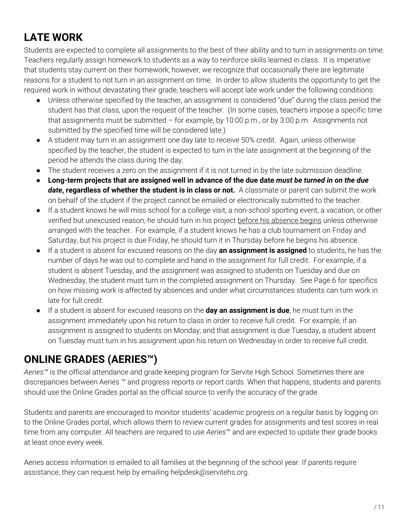## **LATE WORK**

Students are expected to complete all assignments to the best of their ability and to turn in assignments on time. Teachers regularly assign homework to students as a way to reinforce skills learned in class. It is imperative that students stay current on their homework; however, we recognize that occasionally there are legitimate reasons for a student to not turn in an assignment on time. In order to allow students the opportunity to get the required work in without devastating their grade, teachers will accept late work under the following conditions:

- Unless otherwise specified by the teacher, an assignment is considered "due" during the class period the student has that class, upon the request of the teacher. (In some cases, teachers impose a specific time that assignments must be submitted – for example, by 10:00 p.m., or by 3:00 p.m. Assignments not submitted by the specified time will be considered late.)
- A student may turn in an assignment one day late to receive 50% credit. Again, unless otherwise specified by the teacher, the student is expected to turn in the late assignment at the beginning of the period he attends the class during the day.
- The student receives a zero on the assignment if it is not turned in by the late submission deadline.
- Long-term projects that are assigned well in advance of the due date must be turned in on the due *date***, regardless of whether the student is in class or not.** A classmate or parent can submit the work on behalf of the student if the project cannot be emailed or electronically submitted to the teacher.
- If a student knows he will miss school for a college visit, a non-school sporting event, a vacation, or other verified but unexcused reason, he should turn in his project before his absence begins unless otherwise arranged with the teacher. For example, if a student knows he has a club tournament on Friday and Saturday, but his project is due Friday, he should turn it in Thursday before he begins his absence.
- If a student is absent for excused reasons on the day **an assignment is assigned** to students, he has the number of days he was out to complete and hand in the assignment for full credit. For example, if a student is absent Tuesday, and the assignment was assigned to students on Tuesday and due on Wednesday, the student must turn in the completed assignment on Thursday. See Page 6 for specifics on how missing work is affected by absences and under what circumstances students can turn work in late for full credit.
- If a student is absent for excused reasons on the **day an assignment is due**, he must turn in the assignment immediately upon his return to class in order to receive full credit. For example, if an assignment is assigned to students on Monday, and that assignment is due Tuesday, a student absent on Tuesday must turn in his assignment upon his return on Wednesday in order to receive full credit.

#### <span id="page-10-0"></span>**ONLINE GRADES (AERIES™)**

*Aeries™* is the official attendance and grade keeping program for Servite High School. Sometimes there are discrepancies between Aeries ™ and progress reports or report cards. When that happens, students and parents should use the Online Grades portal as the official source to verify the accuracy of the grade.

Students and parents are encouraged to monitor students' academic progress on a regular basis by logging on to the Online Grades portal, which allows them to review current grades for assignments and test scores in real time from any computer. All teachers are required to use *Aeries*™ and are expected to update their grade books at least once every week.

Aeries access information is emailed to all families at the beginning of the school year. If parents require assistance, they can request help by emailing helpdesk@servitehs.org.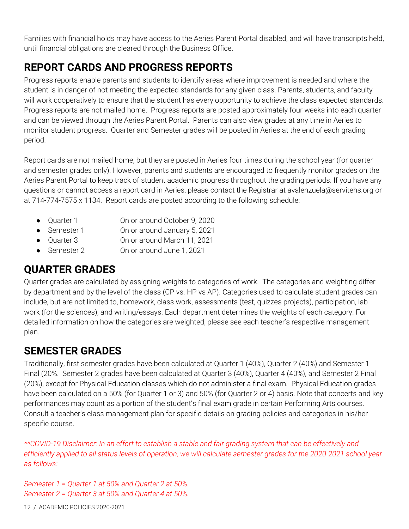Families with financial holds may have access to the Aeries Parent Portal disabled, and will have transcripts held, until financial obligations are cleared through the Business Office.

## <span id="page-11-0"></span>**REPORT CARDS AND PROGRESS REPORTS**

Progress reports enable parents and students to identify areas where improvement is needed and where the student is in danger of not meeting the expected standards for any given class. Parents, students, and faculty will work cooperatively to ensure that the student has every opportunity to achieve the class expected standards. Progress reports are not mailed home. Progress reports are posted approximately four weeks into each quarter and can be viewed through the Aeries Parent Portal. Parents can also view grades at any time in Aeries to monitor student progress. Quarter and Semester grades will be posted in Aeries at the end of each grading period.

Report cards are not mailed home, but they are posted in Aeries four times during the school year (for quarter and semester grades only). However, parents and students are encouraged to frequently monitor grades on the Aeries Parent Portal to keep track of student academic progress throughout the grading periods. If you have any questions or cannot access a report card in Aeries, please contact the Registrar at avalenzuela@servitehs.org or at 714-774-7575 x 1134. Report cards are posted according to the following schedule:

- Quarter 1 On or around October 9, 2020
- Semester 1 On or around January 5, 2021
- Ouarter 3 Chronaround March 11, 2021
- Semester 2 On or around June 1, 2021

## <span id="page-11-1"></span>**QUARTER GRADES**

Quarter grades are calculated by assigning weights to categories of work. The categories and weighting differ by department and by the level of the class (CP vs. HP vs AP). Categories used to calculate student grades can include, but are not limited to, homework, class work, assessments (test, quizzes projects), participation, lab work (for the sciences), and writing/essays. Each department determines the weights of each category. For detailed information on how the categories are weighted, please see each teacher's respective management plan.

#### <span id="page-11-2"></span>**SEMESTER GRADES**

Traditionally, first semester grades have been calculated at Quarter 1 (40%), Quarter 2 (40%) and Semester 1 Final (20%. Semester 2 grades have been calculated at Quarter 3 (40%), Quarter 4 (40%), and Semester 2 Final (20%), except for Physical Education classes which do not administer a final exam. Physical Education grades have been calculated on a 50% (for Quarter 1 or 3) and 50% (for Quarter 2 or 4) basis. Note that concerts and key performances may count as a portion of the student's final exam grade in certain Performing Arts courses. Consult a teacher's class management plan for specific details on grading policies and categories in his/her specific course.

\*\*COVID-19 Disclaimer: In an effort to establish a stable and fair grading system that can be effectively and efficiently applied to all status levels of operation, we will calculate semester grades for the 2020-2021 school year *as follows:*

*Semester 1 = Quarter 1 at 50% and Quarter 2 at 50%. Semester 2 = Quarter 3 at 50% and Quarter 4 at 50%.*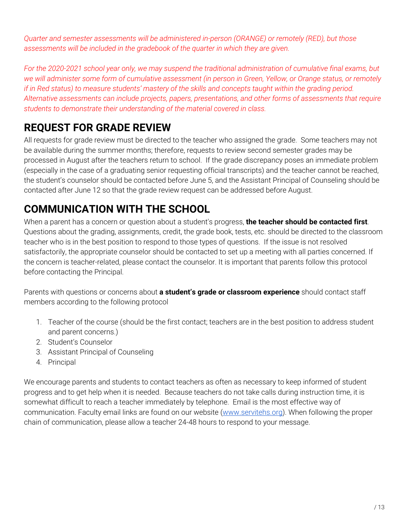*Quarter and semester assessments will be administered in-person (ORANGE) or remotely (RED), but those assessments will be included in the gradebook of the quarter in which they are given.*

For the 2020-2021 school year only, we may suspend the traditional administration of cumulative final exams, but we will administer some form of cumulative assessment (in person in Green, Yellow, or Orange status, or remotely if in Red status) to measure students' mastery of the skills and concepts taught within the grading period. *Alternative assessments can include projects, papers, presentations, and other forms of assessments that require students to demonstrate their understanding of the material covered in class.*

## <span id="page-12-0"></span>**REQUEST FOR GRADE REVIEW**

All requests for grade review must be directed to the teacher who assigned the grade. Some teachers may not be available during the summer months; therefore, requests to review second semester grades may be processed in August after the teachers return to school. If the grade discrepancy poses an immediate problem (especially in the case of a graduating senior requesting official transcripts) and the teacher cannot be reached, the student's counselor should be contacted before June 5, and the Assistant Principal of Counseling should be contacted after June 12 so that the grade review request can be addressed before August.

## <span id="page-12-1"></span>**COMMUNICATION WITH THE SCHOOL**

When a parent has a concern or question about a student's progress, **the teacher should be contacted first**. Questions about the grading, assignments, credit, the grade book, tests, etc. should be directed to the classroom teacher who is in the best position to respond to those types of questions. If the issue is not resolved satisfactorily, the appropriate counselor should be contacted to set up a meeting with all parties concerned. If the concern is teacher-related, please contact the counselor. It is important that parents follow this protocol before contacting the Principal.

Parents with questions or concerns about **a student's grade or classroom experience** should contact staff members according to the following protocol

- 1. Teacher of the course (should be the first contact; teachers are in the best position to address student and parent concerns.)
- 2. Student's Counselor
- 3. Assistant Principal of Counseling
- 4. Principal

<span id="page-12-2"></span>We encourage parents and students to contact teachers as often as necessary to keep informed of student progress and to get help when it is needed. Because teachers do not take calls during instruction time, it is somewhat difficult to reach a teacher immediately by telephone. Email is the most effective way of communication. Faculty email links are found on our website ([www.servitehs.org](http://www.servitehs.org/)). When following the proper chain of communication, please allow a teacher 24-48 hours to respond to your message.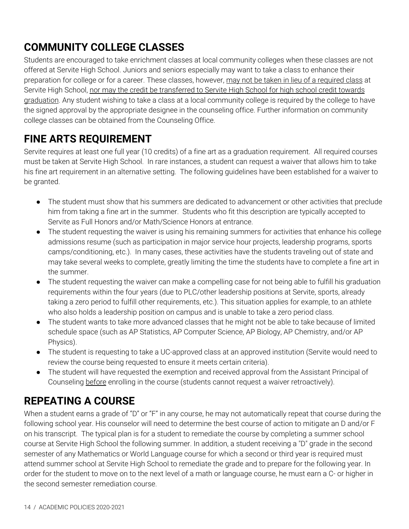## **COMMUNITY COLLEGE CLASSES**

Students are encouraged to take enrichment classes at local community colleges when these classes are not offered at Servite High School. Juniors and seniors especially may want to take a class to enhance their preparation for college or for a career. These classes, however, may not be taken in lieu of a required class at Servite High School, nor may the credit be transferred to Servite High School for high school credit towards graduation. Any student wishing to take a class at a local community college is required by the college to have the signed approval by the appropriate designee in the counseling office. Further information on community college classes can be obtained from the Counseling Office.

#### <span id="page-13-0"></span>**FINE ARTS REQUIREMENT**

Servite requires at least one full year (10 credits) of a fine art as a graduation requirement. All required courses must be taken at Servite High School. In rare instances, a student can request a waiver that allows him to take his fine art requirement in an alternative setting. The following guidelines have been established for a waiver to be granted.

- The student must show that his summers are dedicated to advancement or other activities that preclude him from taking a fine art in the summer. Students who fit this description are typically accepted to Servite as Full Honors and/or Math/Science Honors at entrance.
- The student requesting the waiver is using his remaining summers for activities that enhance his college admissions resume (such as participation in major service hour projects, leadership programs, sports camps/conditioning, etc.). In many cases, these activities have the students traveling out of state and may take several weeks to complete, greatly limiting the time the students have to complete a fine art in the summer.
- The student requesting the waiver can make a compelling case for not being able to fulfill his graduation requirements within the four years (due to PLC/other leadership positions at Servite, sports, already taking a zero period to fulfill other requirements, etc.). This situation applies for example, to an athlete who also holds a leadership position on campus and is unable to take a zero period class.
- The student wants to take more advanced classes that he might not be able to take because of limited schedule space (such as AP Statistics, AP Computer Science, AP Biology, AP Chemistry, and/or AP Physics).
- The student is requesting to take a UC-approved class at an approved institution (Servite would need to review the course being requested to ensure it meets certain criteria).
- The student will have requested the exemption and received approval from the Assistant Principal of Counseling before enrolling in the course (students cannot request a waiver retroactively).

## <span id="page-13-1"></span>**REPEATING A COURSE**

When a student earns a grade of "D" or "F" in any course, he may not automatically repeat that course during the following school year. His counselor will need to determine the best course of action to mitigate an D and/or F on his transcript. The typical plan is for a student to remediate the course by completing a summer school course at Servite High School the following summer. In addition, a student receiving a "D" grade in the second semester of any Mathematics or World Language course for which a second or third year is required must attend summer school at Servite High School to remediate the grade and to prepare for the following year. In order for the student to move on to the next level of a math or language course, he must earn a C- or higher in the second semester remediation course.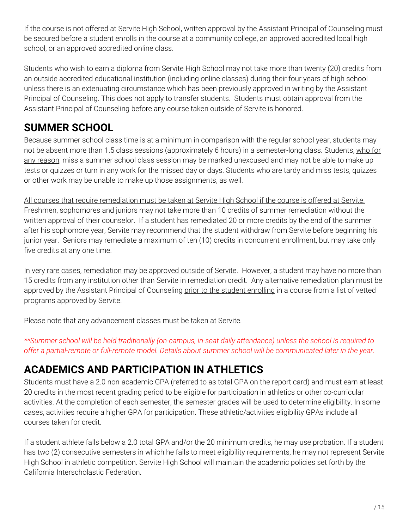If the course is not offered at Servite High School, written approval by the Assistant Principal of Counseling must be secured before a student enrolls in the course at a community college, an approved accredited local high school, or an approved accredited online class.

Students who wish to earn a diploma from Servite High School may not take more than twenty (20) credits from an outside accredited educational institution (including online classes) during their four years of high school unless there is an extenuating circumstance which has been previously approved in writing by the Assistant Principal of Counseling. This does not apply to transfer students. Students must obtain approval from the Assistant Principal of Counseling before any course taken outside of Servite is honored.

#### <span id="page-14-0"></span>**SUMMER SCHOOL**

Because summer school class time is at a minimum in comparison with the regular school year, students may not be absent more than 1.5 class sessions (approximately 6 hours) in a semester-long class. Students, who for any reason, miss a summer school class session may be marked unexcused and may not be able to make up tests or quizzes or turn in any work for the missed day or days. Students who are tardy and miss tests, quizzes or other work may be unable to make up those assignments, as well.

All courses that require remediation must be taken at Servite High School if the course is offered at Servite. Freshmen, sophomores and juniors may not take more than 10 credits of summer remediation without the written approval of their counselor. If a student has remediated 20 or more credits by the end of the summer after his sophomore year, Servite may recommend that the student withdraw from Servite before beginning his junior year. Seniors may remediate a maximum of ten (10) credits in concurrent enrollment, but may take only five credits at any one time.

In very rare cases, remediation may be approved outside of Servite. However, a student may have no more than 15 credits from any institution other than Servite in remediation credit. Any alternative remediation plan must be approved by the Assistant Principal of Counseling prior to the student enrolling in a course from a list of vetted programs approved by Servite.

Please note that any advancement classes must be taken at Servite.

\*\*Summer school will be held traditionally (on-campus, in-seat daily attendance) unless the school is required to offer a partial-remote or full-remote model. Details about summer school will be communicated later in the year.

## <span id="page-14-1"></span>**ACADEMICS AND PARTICIPATION IN ATHLETICS**

Students must have a 2.0 non-academic GPA (referred to as total GPA on the report card) and must earn at least 20 credits in the most recent grading period to be eligible for participation in athletics or other co-curricular activities. At the completion of each semester, the semester grades will be used to determine eligibility. In some cases, activities require a higher GPA for participation. These athletic/activities eligibility GPAs include all courses taken for credit.

If a student athlete falls below a 2.0 total GPA and/or the 20 minimum credits, he may use probation. If a student has two (2) consecutive semesters in which he fails to meet eligibility requirements, he may not represent Servite High School in athletic competition. Servite High School will maintain the academic policies set forth by the California Interscholastic Federation.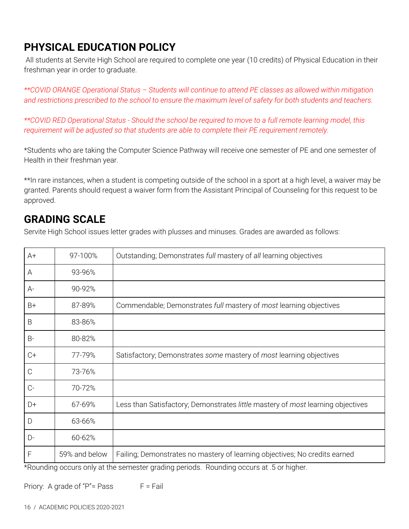## <span id="page-15-0"></span>**PHYSICAL EDUCATION POLICY**

All students at Servite High School are required to complete one year (10 credits) of Physical Education in their freshman year in order to graduate.

*\*\*COVID ORANGE Operational Status – Students will continue to attend PE classes as allowed within mitigation* and restrictions prescribed to the school to ensure the maximum level of safety for both students and teachers.

\*\*COVID RED Operational Status - Should the school be required to move to a full remote learning model, this *requirement will be adjusted so that students are able to complete their PE requirement remotely.*

\*Students who are taking the Computer Science Pathway will receive one semester of PE and one semester of Health in their freshman year.

\*\*In rare instances, when a student is competing outside of the school in a sport at a high level, a waiver may be granted. Parents should request a waiver form from the Assistant Principal of Counseling for this request to be approved.

#### <span id="page-15-1"></span>**GRADING SCALE**

Servite High School issues letter grades with plusses and minuses. Grades are awarded as follows:

| $A+$          | 97-100%       | Outstanding; Demonstrates full mastery of all learning objectives               |
|---------------|---------------|---------------------------------------------------------------------------------|
| A             | 93-96%        |                                                                                 |
| $A-$          | 90-92%        |                                                                                 |
| B+            | 87-89%        | Commendable; Demonstrates full mastery of most learning objectives              |
| B             | 83-86%        |                                                                                 |
| <b>B-</b>     | 80-82%        |                                                                                 |
| $C+$          | 77-79%        | Satisfactory; Demonstrates some mastery of most learning objectives             |
| $\mathcal{C}$ | 73-76%        |                                                                                 |
| $C-$          | 70-72%        |                                                                                 |
| D+            | 67-69%        | Less than Satisfactory; Demonstrates little mastery of most learning objectives |
| D             | 63-66%        |                                                                                 |
| $D-$          | 60-62%        |                                                                                 |
| F             | 59% and below | Failing; Demonstrates no mastery of learning objectives; No credits earned      |

\*Rounding occurs only at the semester grading periods. Rounding occurs at .5 or higher.

Priory: A grade of " $P$ "= Pass  $F = F$ ail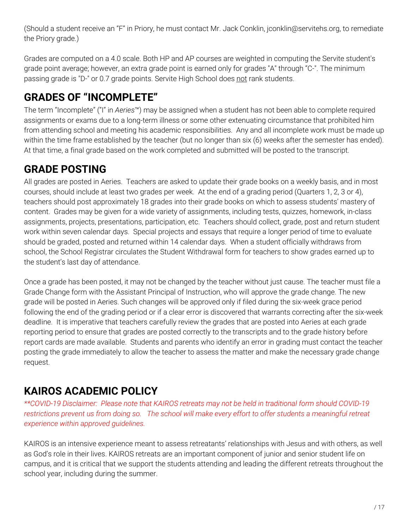(Should a student receive an "F" in Priory, he must contact Mr. Jack Conklin, jconklin@servitehs.org, to remediate the Priory grade.)

Grades are computed on a 4.0 scale. Both HP and AP courses are weighted in computing the Servite student's grade point average; however, an extra grade point is earned only for grades "A" through "C-". The minimum passing grade is "D-" or 0.7 grade points. Servite High School does not rank students.

## <span id="page-16-0"></span>**GRADES OF "INCOMPLETE"**

The term "Incomplete" ("I" in *Aeries*™) may be assigned when a student has not been able to complete required assignments or exams due to a long-term illness or some other extenuating circumstance that prohibited him from attending school and meeting his academic responsibilities. Any and all incomplete work must be made up within the time frame established by the teacher (but no longer than six (6) weeks after the semester has ended). At that time, a final grade based on the work completed and submitted will be posted to the transcript.

## <span id="page-16-1"></span>**GRADE POSTING**

All grades are posted in Aeries. Teachers are asked to update their grade books on a weekly basis, and in most courses, should include at least two grades per week. At the end of a grading period (Quarters 1, 2, 3 or 4), teachers should post approximately 18 grades into their grade books on which to assess students' mastery of content. Grades may be given for a wide variety of assignments, including tests, quizzes, homework, in-class assignments, projects, presentations, participation, etc. Teachers should collect, grade, post and return student work within seven calendar days. Special projects and essays that require a longer period of time to evaluate should be graded, posted and returned within 14 calendar days. When a student officially withdraws from school, the School Registrar circulates the Student Withdrawal form for teachers to show grades earned up to the student's last day of attendance.

Once a grade has been posted, it may not be changed by the teacher without just cause. The teacher must file a Grade Change form with the Assistant Principal of Instruction, who will approve the grade change. The new grade will be posted in Aeries. Such changes will be approved only if filed during the six-week grace period following the end of the grading period or if a clear error is discovered that warrants correcting after the six-week deadline. It is imperative that teachers carefully review the grades that are posted into Aeries at each grade reporting period to ensure that grades are posted correctly to the transcripts and to the grade history before report cards are made available. Students and parents who identify an error in grading must contact the teacher posting the grade immediately to allow the teacher to assess the matter and make the necessary grade change request.

## <span id="page-16-2"></span>**KAIROS ACADEMIC POLICY**

*\*\*COVID-19 Disclaimer: Please note that KAIROS retreats may not be held in traditional form should COVID-19* restrictions prevent us from doing so. The school will make every effort to offer students a meaningful retreat *experience within approved guidelines.*

KAIROS is an intensive experience meant to assess retreatants' relationships with Jesus and with others, as well as God's role in their lives. KAIROS retreats are an important component of junior and senior student life on campus, and it is critical that we support the students attending and leading the different retreats throughout the school year, including during the summer.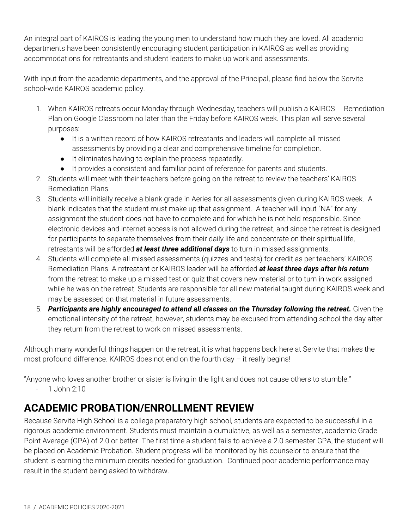An integral part of KAIROS is leading the young men to understand how much they are loved. All academic departments have been consistently encouraging student participation in KAIROS as well as providing accommodations for retreatants and student leaders to make up work and assessments.

With input from the academic departments, and the approval of the Principal, please find below the Servite school-wide KAIROS academic policy.

- 1. When KAIROS retreats occur Monday through Wednesday, teachers will publish a KAIROS Remediation Plan on Google Classroom no later than the Friday before KAIROS week. This plan will serve several purposes:
	- It is a written record of how KAIROS retreatants and leaders will complete all missed assessments by providing a clear and comprehensive timeline for completion.
	- It eliminates having to explain the process repeatedly.
	- It provides a consistent and familiar point of reference for parents and students.
- 2. Students will meet with their teachers before going on the retreat to review the teachers' KAIROS Remediation Plans.
- 3. Students will initially receive a blank grade in Aeries for all assessments given during KAIROS week. A blank indicates that the student must make up that assignment. A teacher will input "NA" for any assignment the student does not have to complete and for which he is not held responsible. Since electronic devices and internet access is not allowed during the retreat, and since the retreat is designed for participants to separate themselves from their daily life and concentrate on their spiritual life, retreatants will be afforded *at least three additional days* to turn in missed assignments.
- 4. Students will complete all missed assessments (quizzes and tests) for credit as per teachers' KAIROS Remediation Plans. A retreatant or KAIROS leader will be afforded *at least three days after his return* from the retreat to make up a missed test or quiz that covers new material or to turn in work assigned while he was on the retreat. Students are responsible for all new material taught during KAIROS week and may be assessed on that material in future assessments.
- 5. *Participants are highly encouraged to attend all classes on the Thursday following the retreat.* Given the emotional intensity of the retreat, however, students may be excused from attending school the day after they return from the retreat to work on missed assessments.

Although many wonderful things happen on the retreat, it is what happens back here at Servite that makes the most profound difference. KAIROS does not end on the fourth day – it really begins!

"Anyone who loves another brother or sister is living in the light and does not cause others to stumble."

- 1 John 2:10

## <span id="page-17-0"></span>**ACADEMIC PROBATION/ENROLLMENT REVIEW**

Because Servite High School is a college preparatory high school, students are expected to be successful in a rigorous academic environment. Students must maintain a cumulative, as well as a semester, academic Grade Point Average (GPA) of 2.0 or better. The first time a student fails to achieve a 2.0 semester GPA, the student will be placed on Academic Probation. Student progress will be monitored by his counselor to ensure that the student is earning the minimum credits needed for graduation. Continued poor academic performance may result in the student being asked to withdraw.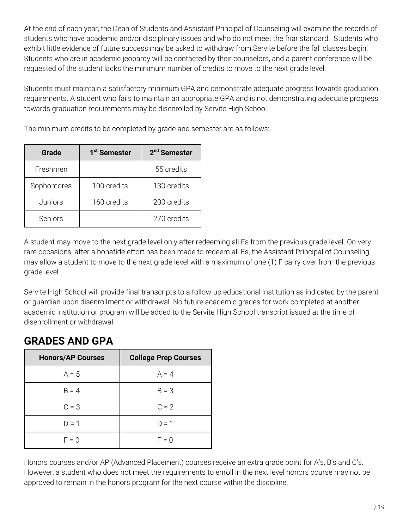At the end of each year, the Dean of Students and Assistant Principal of Counseling will examine the records of students who have academic and/or disciplinary issues and who do not meet the friar standard. Students who exhibit little evidence of future success may be asked to withdraw from Servite before the fall classes begin. Students who are in academic jeopardy will be contacted by their counselors, and a parent conference will be requested of the student lacks the minimum number of credits to move to the next grade level.

Students must maintain a satisfactory minimum GPA and demonstrate adequate progress towards graduation requirements. A student who fails to maintain an appropriate GPA and is not demonstrating adequate progress towards graduation requirements may be disenrolled by Servite High School.

The minimum credits to be completed by grade and semester are as follows:

| Grade      | 1 <sup>st</sup> Semester | 2 <sup>nd</sup> Semester |
|------------|--------------------------|--------------------------|
| Freshmen   |                          | 55 credits               |
| Sophomores | 100 credits              | 130 credits              |
| Juniors    | 160 credits              | 200 credits              |
| Seniors    |                          | 270 credits              |

A student may move to the next grade level only after redeeming all Fs from the previous grade level. On very rare occasions, after a bonafide effort has been made to redeem all Fs, the Assistant Principal of Counseling may allow a student to move to the next grade level with a maximum of one (1) F carry-over from the previous grade level.

Servite High School will provide final transcripts to a follow-up educational institution as indicated by the parent or guardian upon disenrollment or withdrawal. No future academic grades for work completed at another academic institution or program will be added to the Servite High School transcript issued at the time of disenrollment or withdrawal.

## <span id="page-18-0"></span>**GRADES AND GPA**

| <b>Honors/AP Courses</b> | <b>College Prep Courses</b> |
|--------------------------|-----------------------------|
| $A = 5$                  | $A = 4$                     |
| $B = 4$                  | $B = 3$                     |
| $C = 3$                  | $C = 2$                     |
| $D = 1$                  | $D = 1$                     |
| $F = 0$                  | $F = 0$                     |

Honors courses and/or AP (Advanced Placement) courses receive an extra grade point for A's, B's and C's. However, a student who does not meet the requirements to enroll in the next level honors course may not be approved to remain in the honors program for the next course within the discipline.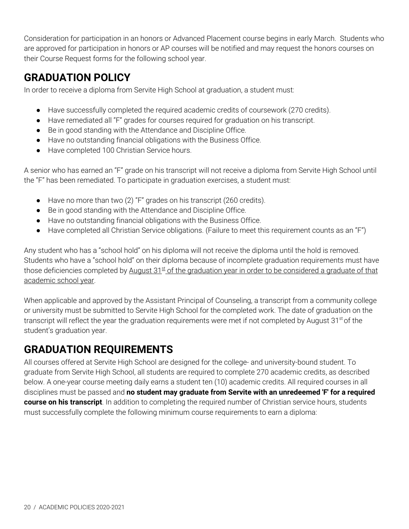Consideration for participation in an honors or Advanced Placement course begins in early March. Students who are approved for participation in honors or AP courses will be notified and may request the honors courses on their Course Request forms for the following school year.

#### <span id="page-19-0"></span>**GRADUATION POLICY**

In order to receive a diploma from Servite High School at graduation, a student must:

- Have successfully completed the required academic credits of coursework (270 credits).
- Have remediated all "F" grades for courses required for graduation on his transcript.
- Be in good standing with the Attendance and Discipline Office.
- Have no outstanding financial obligations with the Business Office.
- Have completed 100 Christian Service hours.

A senior who has earned an "F" grade on his transcript will not receive a diploma from Servite High School until the "F" has been remediated. To participate in graduation exercises, a student must:

- Have no more than two (2) "F" grades on his transcript (260 credits).
- Be in good standing with the Attendance and Discipline Office.
- Have no outstanding financial obligations with the Business Office.
- Have completed all Christian Service obligations. (Failure to meet this requirement counts as an "F")

Any student who has a "school hold" on his diploma will not receive the diploma until the hold is removed. Students who have a "school hold" on their diploma because of incomplete graduation requirements must have those deficiencies completed by <u>August 31st of the graduation year in order to be considered a graduate of that</u> academic school year.

When applicable and approved by the Assistant Principal of Counseling, a transcript from a community college or university must be submitted to Servite High School for the completed work. The date of graduation on the transcript will reflect the year the graduation requirements were met if not completed by August 31<sup>st</sup> of the student's graduation year.

#### <span id="page-19-1"></span>**GRADUATION REQUIREMENTS**

All courses offered at Servite High School are designed for the college- and university-bound student. To graduate from Servite High School, all students are required to complete 270 academic credits, as described below. A one-year course meeting daily earns a student ten (10) academic credits. All required courses in all disciplines must be passed and **no student may graduate from Servite with an unredeemed 'F' for a required course on his transcript**. In addition to completing the required number of Christian service hours, students must successfully complete the following minimum course requirements to earn a diploma: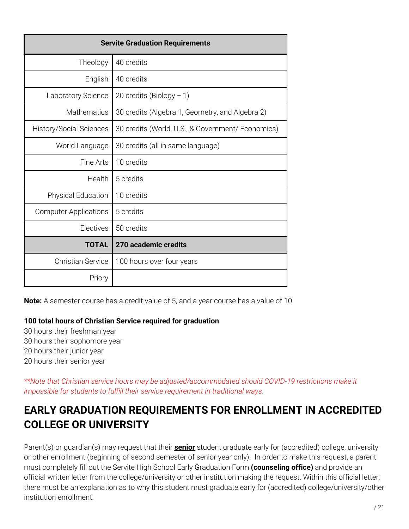| <b>Servite Graduation Requirements</b> |                                                   |  |
|----------------------------------------|---------------------------------------------------|--|
| Theology                               | 40 credits                                        |  |
| English                                | 40 credits                                        |  |
| Laboratory Science                     | 20 credits (Biology + 1)                          |  |
| <b>Mathematics</b>                     | 30 credits (Algebra 1, Geometry, and Algebra 2)   |  |
| <b>History/Social Sciences</b>         | 30 credits (World, U.S., & Government/ Economics) |  |
| World Language                         | 30 credits (all in same language)                 |  |
| Fine Arts                              | 10 credits                                        |  |
| Health                                 | 5 credits                                         |  |
| <b>Physical Education</b>              | 10 credits                                        |  |
| <b>Computer Applications</b>           | 5 credits                                         |  |
| Electives                              | 50 credits                                        |  |
| <b>TOTAL</b>                           | 270 academic credits                              |  |
| <b>Christian Service</b>               | 100 hours over four years                         |  |
| Priory                                 |                                                   |  |

**Note:** A semester course has a credit value of 5, and a year course has a value of 10.

#### **100 total hours of Christian Service required for graduation**

 hours their freshman year hours their sophomore year hours their junior year hours their senior year

*\*\*Note that Christian service hours may be adjusted/accommodated should COVID-19 restrictions make it impossible for students to fulfill their service requirement in traditional ways.*

## <span id="page-20-0"></span>**EARLY GRADUATION REQUIREMENTS FOR ENROLLMENT IN ACCREDITED COLLEGE OR UNIVERSITY**

Parent(s) or guardian(s) may request that their **senior** student graduate early for (accredited) college, university or other enrollment (beginning of second semester of senior year only). In order to make this request, a parent must completely fill out the Servite High School Early Graduation Form **(counseling office)** and provide an official written letter from the college/university or other institution making the request. Within this official letter, there must be an explanation as to why this student must graduate early for (accredited) college/university/other institution enrollment.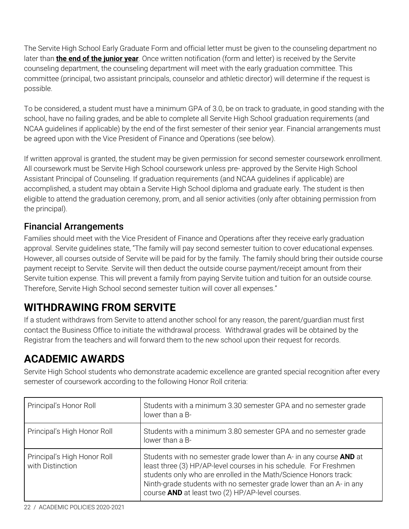The Servite High School Early Graduate Form and official letter must be given to the counseling department no later than **the end of the junior year**. Once written notification (form and letter) is received by the Servite counseling department, the counseling department will meet with the early graduation committee. This committee (principal, two assistant principals, counselor and athletic director) will determine if the request is possible.

To be considered, a student must have a minimum GPA of 3.0, be on track to graduate, in good standing with the school, have no failing grades, and be able to complete all Servite High School graduation requirements (and NCAA guidelines if applicable) by the end of the first semester of their senior year. Financial arrangements must be agreed upon with the Vice President of Finance and Operations (see below).

If written approval is granted, the student may be given permission for second semester coursework enrollment. All coursework must be Servite High School coursework unless pre- approved by the Servite High School Assistant Principal of Counseling. If graduation requirements (and NCAA guidelines if applicable) are accomplished, a student may obtain a Servite High School diploma and graduate early. The student is then eligible to attend the graduation ceremony, prom, and all senior activities (only after obtaining permission from the principal).

#### <span id="page-21-0"></span>Financial Arrangements

Families should meet with the Vice President of Finance and Operations after they receive early graduation approval. Servite guidelines state, "The family will pay second semester tuition to cover educational expenses. However, all courses outside of Servite will be paid for by the family. The family should bring their outside course payment receipt to Servite. Servite will then deduct the outside course payment/receipt amount from their Servite tuition expense. This will prevent a family from paying Servite tuition and tuition for an outside course. Therefore, Servite High School second semester tuition will cover all expenses."

## <span id="page-21-1"></span>**WITHDRAWING FROM SERVITE**

If a student withdraws from Servite to attend another school for any reason, the parent/guardian must first contact the Business Office to initiate the withdrawal process. Withdrawal grades will be obtained by the Registrar from the teachers and will forward them to the new school upon their request for records.

## <span id="page-21-2"></span>**ACADEMIC AWARDS**

Servite High School students who demonstrate academic excellence are granted special recognition after every semester of coursework according to the following Honor Roll criteria:

| Principal's Honor Roll                          | Students with a minimum 3.30 semester GPA and no semester grade<br>lower than a B-                                                                                                                                                                                                                                                     |
|-------------------------------------------------|----------------------------------------------------------------------------------------------------------------------------------------------------------------------------------------------------------------------------------------------------------------------------------------------------------------------------------------|
| Principal's High Honor Roll                     | Students with a minimum 3.80 semester GPA and no semester grade<br>lower than a B-                                                                                                                                                                                                                                                     |
| Principal's High Honor Roll<br>with Distinction | Students with no semester grade lower than A- in any course AND at<br>least three (3) HP/AP-level courses in his schedule. For Freshmen<br>students only who are enrolled in the Math/Science Honors track:<br>Ninth-grade students with no semester grade lower than an A- in any<br>course AND at least two (2) HP/AP-level courses. |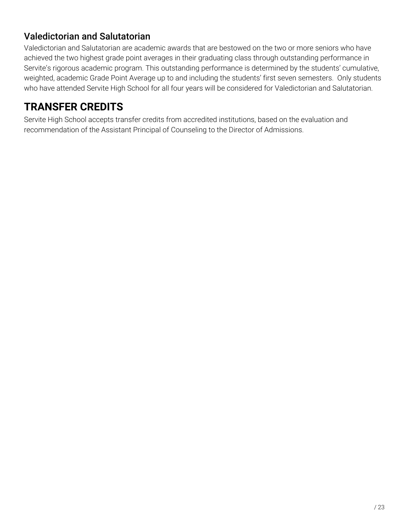#### <span id="page-22-0"></span>Valedictorian and Salutatorian

Valedictorian and Salutatorian are academic awards that are bestowed on the two or more seniors who have achieved the two highest grade point averages in their graduating class through outstanding performance in Servite's rigorous academic program. This outstanding performance is determined by the students' cumulative, weighted, academic Grade Point Average up to and including the students' first seven semesters. Only students who have attended Servite High School for all four years will be considered for Valedictorian and Salutatorian.

## <span id="page-22-1"></span>**TRANSFER CREDITS**

Servite High School accepts transfer credits from accredited institutions, based on the evaluation and recommendation of the Assistant Principal of Counseling to the Director of Admissions.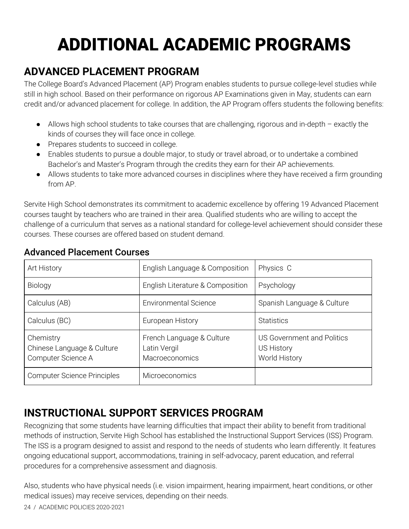# ADDITIONAL ACADEMIC PROGRAMS

#### <span id="page-23-0"></span>**ADVANCED PLACEMENT PROGRAM**

The College Board's Advanced Placement (AP) Program enables students to pursue college-level studies while still in high school. Based on their performance on rigorous AP Examinations given in May, students can earn credit and/or advanced placement for college. In addition, the AP Program offers students the following benefits:

- Allows high school students to take courses that are challenging, rigorous and in-depth exactly the kinds of courses they will face once in college.
- Prepares students to succeed in college.
- Enables students to pursue a double major, to study or travel abroad, or to undertake a combined Bachelor's and Master's Program through the credits they earn for their AP achievements.
- Allows students to take more advanced courses in disciplines where they have received a firm grounding from AP.

Servite High School demonstrates its commitment to academic excellence by offering 19 Advanced Placement courses taught by teachers who are trained in their area. Qualified students who are willing to accept the challenge of a curriculum that serves as a national standard for college-level achievement should consider these courses. These courses are offered based on student demand.

| Art History                                                   | English Language & Composition                              | Physics C                                                        |
|---------------------------------------------------------------|-------------------------------------------------------------|------------------------------------------------------------------|
| Biology                                                       | English Literature & Composition                            | Psychology                                                       |
| Calculus (AB)                                                 | <b>Environmental Science</b>                                | Spanish Language & Culture                                       |
| Calculus (BC)                                                 | European History                                            | <b>Statistics</b>                                                |
| Chemistry<br>Chinese Language & Culture<br>Computer Science A | French Language & Culture<br>Latin Vergil<br>Macroeconomics | <b>US Government and Politics</b><br>US History<br>World History |
| <b>Computer Science Principles</b>                            | Microeconomics                                              |                                                                  |

#### <span id="page-23-1"></span>Advanced Placement Courses

## <span id="page-23-2"></span>**INSTRUCTIONAL SUPPORT SERVICES PROGRAM**

Recognizing that some students have learning difficulties that impact their ability to benefit from traditional methods of instruction, Servite High School has established the Instructional Support Services (ISS) Program. The ISS is a program designed to assist and respond to the needs of students who learn differently. It features ongoing educational support, accommodations, training in self-advocacy, parent education, and referral procedures for a comprehensive assessment and diagnosis.

Also, students who have physical needs (i.e. vision impairment, hearing impairment, heart conditions, or other medical issues) may receive services, depending on their needs.

24 / ACADEMIC POLICIES 2020-2021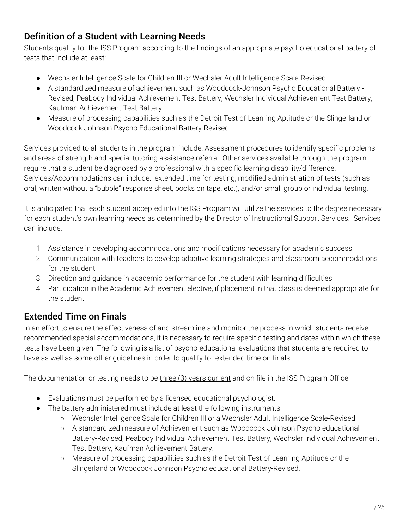#### <span id="page-24-0"></span>Definition of a Student with Learning Needs

Students qualify for the ISS Program according to the findings of an appropriate psycho-educational battery of tests that include at least:

- Wechsler Intelligence Scale for Children-III or Wechsler Adult Intelligence Scale-Revised
- A standardized measure of achievement such as Woodcock-Johnson Psycho Educational Battery Revised, Peabody Individual Achievement Test Battery, Wechsler Individual Achievement Test Battery, Kaufman Achievement Test Battery
- Measure of processing capabilities such as the Detroit Test of Learning Aptitude or the Slingerland or Woodcock Johnson Psycho Educational Battery-Revised

Services provided to all students in the program include: Assessment procedures to identify specific problems and areas of strength and special tutoring assistance referral. Other services available through the program require that a student be diagnosed by a professional with a specific learning disability/difference. Services/Accommodations can include: extended time for testing, modified administration of tests (such as oral, written without a "bubble" response sheet, books on tape, etc.), and/or small group or individual testing.

It is anticipated that each student accepted into the ISS Program will utilize the services to the degree necessary for each student's own learning needs as determined by the Director of Instructional Support Services. Services can include:

- 1. Assistance in developing accommodations and modifications necessary for academic success
- 2. Communication with teachers to develop adaptive learning strategies and classroom accommodations for the student
- 3. Direction and guidance in academic performance for the student with learning difficulties
- 4. Participation in the Academic Achievement elective, if placement in that class is deemed appropriate for the student

#### <span id="page-24-1"></span>Extended Time on Finals

In an effort to ensure the effectiveness of and streamline and monitor the process in which students receive recommended special accommodations, it is necessary to require specific testing and dates within which these tests have been given. The following is a list of psycho-educational evaluations that students are required to have as well as some other guidelines in order to qualify for extended time on finals:

The documentation or testing needs to be three (3) years current and on file in the ISS Program Office.

- Evaluations must be performed by a licensed educational psychologist.
- The battery administered must include at least the following instruments:
	- Wechsler Intelligence Scale for Children III or a Wechsler Adult Intelligence Scale-Revised.
	- A standardized measure of Achievement such as Woodcock-Johnson Psycho educational Battery-Revised, Peabody Individual Achievement Test Battery, Wechsler Individual Achievement Test Battery, Kaufman Achievement Battery.
	- Measure of processing capabilities such as the Detroit Test of Learning Aptitude or the Slingerland or Woodcock Johnson Psycho educational Battery-Revised.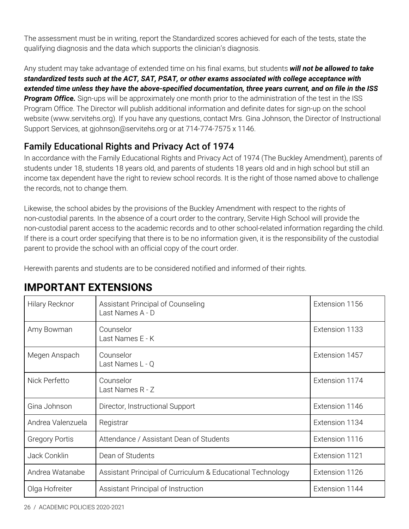The assessment must be in writing, report the Standardized scores achieved for each of the tests, state the qualifying diagnosis and the data which supports the clinician's diagnosis.

Any student may take advantage of extended time on his final exams, but students *will not be allowed to take standardized tests such at the ACT, SAT, PSAT, or other exams associated with college acceptance with* extended time unless they have the above-specified documentation, three years current, and on file in the ISS *Program Office.* Sign-ups will be approximately one month prior to the administration of the test in the ISS Program Office. The Director will publish additional information and definite dates for sign-up on the school website (www.servitehs.org). If you have any questions, contact Mrs. Gina Johnson, the Director of Instructional Support Services, at gjohnson@servitehs.org or at 714-774-7575 x 1146.

#### <span id="page-25-0"></span>Family Educational Rights and Privacy Act of 1974

In accordance with the Family Educational Rights and Privacy Act of 1974 (The Buckley Amendment), parents of students under 18, students 18 years old, and parents of students 18 years old and in high school but still an income tax dependent have the right to review school records. It is the right of those named above to challenge the records, not to change them.

Likewise, the school abides by the provisions of the Buckley Amendment with respect to the rights of non-custodial parents. In the absence of a court order to the contrary, Servite High School will provide the non-custodial parent access to the academic records and to other school-related information regarding the child. If there is a court order specifying that there is to be no information given, it is the responsibility of the custodial parent to provide the school with an official copy of the court order.

Herewith parents and students are to be considered notified and informed of their rights.

| <b>Hilary Recknor</b> | Assistant Principal of Counseling<br>Last Names A - D      | Extension 1156 |
|-----------------------|------------------------------------------------------------|----------------|
| Amy Bowman            | Counselor<br>Last Names E - K                              | Extension 1133 |
| Megen Anspach         | Counselor<br>Last Names L - Q                              | Extension 1457 |
| Nick Perfetto         | Counselor<br>Last Names R - Z                              | Extension 1174 |
| Gina Johnson          | Director, Instructional Support                            | Extension 1146 |
| Andrea Valenzuela     | Registrar                                                  | Extension 1134 |
| <b>Gregory Portis</b> | Attendance / Assistant Dean of Students                    | Extension 1116 |
| Jack Conklin          | Dean of Students                                           | Extension 1121 |
| Andrea Watanabe       | Assistant Principal of Curriculum & Educational Technology | Extension 1126 |
| Olga Hofreiter        | Assistant Principal of Instruction                         | Extension 1144 |

## <span id="page-25-1"></span>**IMPORTANT EXTENSIONS**